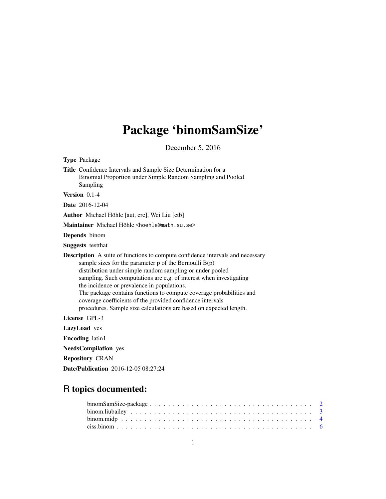# Package 'binomSamSize'

December 5, 2016

<span id="page-0-0"></span>

| <b>Type Package</b>                                                                                                                                                                                                                                                                                                                                                                                                                                                                                                                                |
|----------------------------------------------------------------------------------------------------------------------------------------------------------------------------------------------------------------------------------------------------------------------------------------------------------------------------------------------------------------------------------------------------------------------------------------------------------------------------------------------------------------------------------------------------|
| Title Confidence Intervals and Sample Size Determination for a<br>Binomial Proportion under Simple Random Sampling and Pooled<br>Sampling                                                                                                                                                                                                                                                                                                                                                                                                          |
| Version 0.1-4                                                                                                                                                                                                                                                                                                                                                                                                                                                                                                                                      |
| <b>Date</b> 2016-12-04                                                                                                                                                                                                                                                                                                                                                                                                                                                                                                                             |
| Author Michael Höhle [aut, cre], Wei Liu [ctb]                                                                                                                                                                                                                                                                                                                                                                                                                                                                                                     |
| Maintainer Michael Höhle <hoehle@math.su.se></hoehle@math.su.se>                                                                                                                                                                                                                                                                                                                                                                                                                                                                                   |
| <b>Depends</b> binom                                                                                                                                                                                                                                                                                                                                                                                                                                                                                                                               |
| <b>Suggests</b> testthat                                                                                                                                                                                                                                                                                                                                                                                                                                                                                                                           |
| <b>Description</b> A suite of functions to compute confidence intervals and necessary<br>sample sizes for the parameter $p$ of the Bernoulli $B(p)$<br>distribution under simple random sampling or under pooled<br>sampling. Such computations are e.g. of interest when investigating<br>the incidence or prevalence in populations.<br>The package contains functions to compute coverage probabilities and<br>coverage coefficients of the provided confidence intervals<br>procedures. Sample size calculations are based on expected length. |
| License GPL-3                                                                                                                                                                                                                                                                                                                                                                                                                                                                                                                                      |
| LazyLoad yes                                                                                                                                                                                                                                                                                                                                                                                                                                                                                                                                       |
| <b>Encoding</b> latin1                                                                                                                                                                                                                                                                                                                                                                                                                                                                                                                             |
| <b>NeedsCompilation</b> yes                                                                                                                                                                                                                                                                                                                                                                                                                                                                                                                        |
| <b>Repository CRAN</b>                                                                                                                                                                                                                                                                                                                                                                                                                                                                                                                             |
| <b>Date/Publication</b> 2016-12-05 08:27:24                                                                                                                                                                                                                                                                                                                                                                                                                                                                                                        |
|                                                                                                                                                                                                                                                                                                                                                                                                                                                                                                                                                    |

## R topics documented: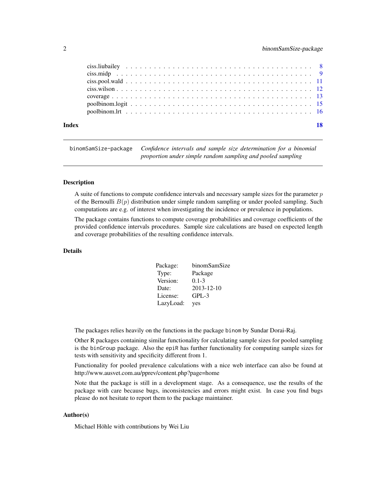<span id="page-1-0"></span>

| Index |  |  | 18 |
|-------|--|--|----|
|       |  |  |    |
|       |  |  |    |
|       |  |  |    |
|       |  |  |    |
|       |  |  |    |
|       |  |  |    |
|       |  |  |    |

binomSamSize-package *Confidence intervals and sample size determination for a binomial proportion under simple random sampling and pooled sampling*

## **Description**

A suite of functions to compute confidence intervals and necessary sample sizes for the parameter  $p$ of the Bernoulli  $B(p)$  distribution under simple random sampling or under pooled sampling. Such computations are e.g. of interest when investigating the incidence or prevalence in populations.

The package contains functions to compute coverage probabilities and coverage coefficients of the provided confidence intervals procedures. Sample size calculations are based on expected length and coverage probabilities of the resulting confidence intervals.

## Details

| Package:  | binomSamSize |
|-----------|--------------|
| Type:     | Package      |
| Version:  | $0.1 - 3$    |
| Date:     | 2013-12-10   |
| License:  | $GPL-3$      |
| LazyLoad: | yes          |

The packages relies heavily on the functions in the package binom by Sundar Dorai-Raj.

Other R packages containing similar functionality for calculating sample sizes for pooled sampling is the binGroup package. Also the epiR has further functionality for computing sample sizes for tests with sensitivity and specificity different from 1.

Functionality for pooled prevalence calculations with a nice web interface can also be found at http://www.ausvet.com.au/pprev/content.php?page=home

Note that the package is still in a development stage. As a consequence, use the results of the package with care because bugs, inconsistencies and errors might exist. In case you find bugs please do not hesitate to report them to the package maintainer.

## Author(s)

Michael Höhle with contributions by Wei Liu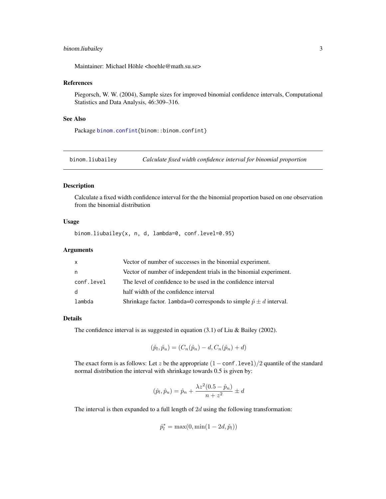## <span id="page-2-0"></span>binom.liubailey 3

Maintainer: Michael Höhle <hoehle@math.su.se>

## References

Piegorsch, W. W. (2004), Sample sizes for improved binomial confidence intervals, Computational Statistics and Data Analysis, 46:309–316.

## See Also

Package [binom.confint{](#page-0-0)binom::binom.confint}

<span id="page-2-1"></span>binom.liubailey *Calculate fixed width confidence interval for binomial proportion*

#### Description

Calculate a fixed width confidence interval for the the binomial proportion based on one observation from the binomial distribution

## Usage

binom.liubailey(x, n, d, lambda=0, conf.level=0.95)

## Arguments

| $\mathsf{x}$ | Vector of number of successes in the binomial experiment.                  |
|--------------|----------------------------------------------------------------------------|
| n.           | Vector of number of independent trials in the binomial experiment.         |
| conf.level   | The level of confidence to be used in the confidence interval              |
| d            | half width of the confidence interval                                      |
| lambda       | Shrinkage factor. 1ambda=0 corresponds to simple $\hat{p} \pm d$ interval. |

## Details

The confidence interval is as suggested in equation (3.1) of Liu & Bailey (2002).

$$
(\hat{p}_l, \hat{p}_u) = (C_n(\hat{p}_n) - d, C_n(\hat{p}_n) + d)
$$

The exact form is as follows: Let z be the appropriate  $(1 - \text{conf. level})/2$  quantile of the standard normal distribution the interval with shrinkage towards 0.5 is given by:

$$
(\hat{p}_l, \hat{p}_u) = \hat{p}_n + \frac{\lambda z^2 (0.5 - \hat{p}_n)}{n + z^2} \pm d
$$

The interval is then expanded to a full length of  $2d$  using the following transformation:

$$
\hat{p}_l^* = \max(0, \min(1 - 2d, \hat{p}_l))
$$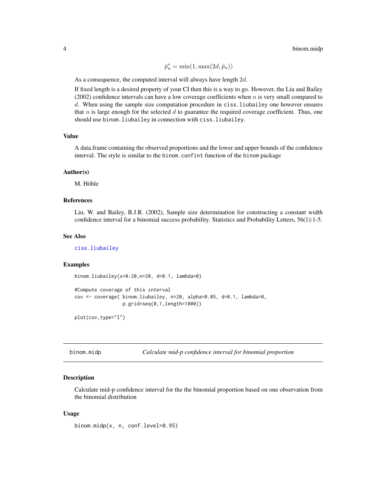$\hat{p}_u^* = \min(1, \max(2d, \hat{p}_u))$ 

<span id="page-3-0"></span>As a consequence, the computed interval will always have length  $2d$ .

If fixed length is a desired property of your CI then this is a way to go. However, the Liu and Bailey (2002) confidence intervals can have a low coverage coefficients when  $n$  is very small compared to d. When using the sample size computation procedure in ciss. liubailey one however ensures that n is large enough for the selected  $d$  to guarantee the required coverage coefficient. Thus, one should use binom.liubailey in connection with ciss.liubailey.

## Value

A data.frame containing the observed proportions and the lower and upper bounds of the confidence interval. The style is similar to the binom.confint function of the binom package

#### Author(s)

M. Höhle

## References

Liu, W. and Bailey, B.J.R. (2002), Sample size determination for constructing a constant width confidence interval for a binomial success probability. Statistics and Probability Letters, 56(1):1-5.

#### See Also

[ciss.liubailey](#page-7-1)

## Examples

binom.liubailey(x=0:20,n=20, d=0.1, lambda=0)

```
#Compute coverage of this interval
cov <- coverage( binom.liubailey, n=20, alpha=0.05, d=0.1, lambda=0,
                 p.grid=seq(0,1,length=1000))
```
plot(cov,type="l")

<span id="page-3-1"></span>binom.midp *Calculate mid-p confidence interval for binomial proportion*

## Description

Calculate mid-p confidence interval for the the binomial proportion based on one observation from the binomial distribution

#### Usage

binom.midp(x, n, conf.level=0.95)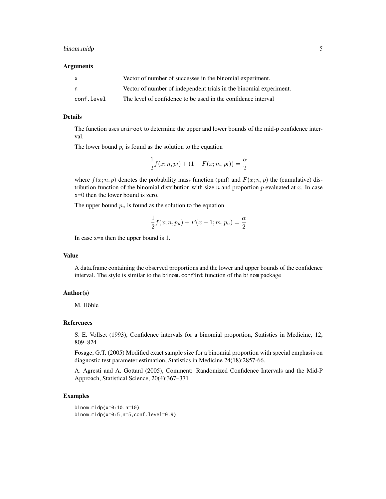## binom.midp 5

#### Arguments

| X          | Vector of number of successes in the binomial experiment.          |
|------------|--------------------------------------------------------------------|
| n.         | Vector of number of independent trials in the binomial experiment. |
| conf.level | The level of confidence to be used in the confidence interval      |

## Details

The function uses uniroot to determine the upper and lower bounds of the mid-p confidence interval.

The lower bound  $p_l$  is found as the solution to the equation

$$
\frac{1}{2}f(x; n, p_l) + (1 - F(x; m, p_l)) = \frac{\alpha}{2}
$$

where  $f(x; n, p)$  denotes the probability mass function (pmf) and  $F(x; n, p)$  the (cumulative) distribution function of the binomial distribution with size  $n$  and proportion  $p$  evaluated at  $x$ . In case x=0 then the lower bound is zero.

The upper bound  $p_u$  is found as the solution to the equation

$$
\frac{1}{2}f(x; n, p_u) + F(x - 1; m, p_u) = \frac{\alpha}{2}
$$

In case x=n then the upper bound is 1.

## Value

A data.frame containing the observed proportions and the lower and upper bounds of the confidence interval. The style is similar to the binom.confint function of the binom package

## Author(s)

M. Höhle

## References

S. E. Vollset (1993), Confidence intervals for a binomial proportion, Statistics in Medicine, 12, 809–824

Fosage, G.T. (2005) Modified exact sample size for a binomial proportion with special emphasis on diagnostic test parameter estimation, Statistics in Medicine 24(18):2857-66.

A. Agresti and A. Gottard (2005), Comment: Randomized Confidence Intervals and the Mid-P Approach, Statistical Science, 20(4):367–371

```
binom.midp(x=0:10,n=10)
binom.midp(x=0:5,n=5,conf.level=0.9)
```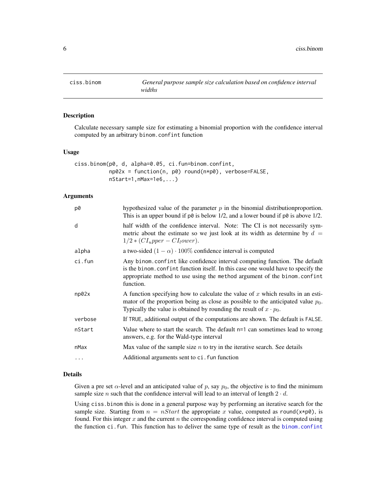<span id="page-5-1"></span><span id="page-5-0"></span>

## Description

Calculate necessary sample size for estimating a binomial proportion with the confidence interval computed by an arbitrary binom.confint function

## Usage

```
ciss.binom(p0, d, alpha=0.05, ci.fun=binom.confint,
          np02x = function(n, p0) round(n*p0), verbose=FALSE,
          nStart=1,nMax=1e6,...)
```
## **Arguments**

| p0       | hypothesized value of the parameter $p$ in the binomial distribution proportion.<br>This is an upper bound if $p\theta$ is below 1/2, and a lower bound if $p\theta$ is above 1/2.                                                                        |
|----------|-----------------------------------------------------------------------------------------------------------------------------------------------------------------------------------------------------------------------------------------------------------|
| d        | half width of the confidence interval. Note: The CI is not necessarily sym-<br>metric about the estimate so we just look at its width as determine by $d =$<br>$1/2 * (CIupper - CIlower).$                                                               |
| alpha    | a two-sided $(1 - \alpha) \cdot 100\%$ confidence interval is computed                                                                                                                                                                                    |
| ci.fun   | Any binom. confint like confidence interval computing function. The default<br>is the binom. confint function itself. In this case one would have to specify the<br>appropriate method to use using the method argument of the binom.confint<br>function. |
| np02x    | A function specifying how to calculate the value of x which results in an esti-<br>mator of the proportion being as close as possible to the anticipated value $p_0$ .<br>Typically the value is obtained by rounding the result of $x \cdot p_0$ .       |
| verbose  | If TRUE, additional output of the computations are shown. The default is FALSE.                                                                                                                                                                           |
| nStart   | Value where to start the search. The default n=1 can sometimes lead to wrong<br>answers, e.g. for the Wald-type interval                                                                                                                                  |
| nMax     | Max value of the sample size $n$ to try in the iterative search. See details                                                                                                                                                                              |
| $\cdots$ | Additional arguments sent to ci. fun function                                                                                                                                                                                                             |

## Details

Given a pre set  $\alpha$ -level and an anticipated value of p, say  $p_0$ , the objective is to find the minimum sample size *n* such that the confidence interval will lead to an interval of length  $2 \cdot d$ .

Using ciss.binom this is done in a general purpose way by performing an iterative search for the sample size. Starting from  $n = nStart$  the appropriate x value, computed as round(x\*p0), is found. For this integer  $x$  and the current  $n$  the corresponding confidence interval is computed using the function ci.fun. This function has to deliver the same type of result as the [binom.confint](#page-0-0)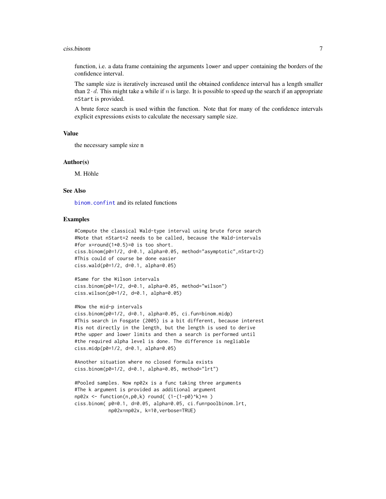#### <span id="page-6-0"></span>ciss.binom 7

function, i.e. a data frame containing the arguments lower and upper containing the borders of the confidence interval.

The sample size is iteratively increased until the obtained confidence interval has a length smaller than  $2 \cdot d$ . This might take a while if n is large. It is possible to speed up the search if an appropriate nStart is provided.

A brute force search is used within the function. Note that for many of the confidence intervals explicit expressions exists to calculate the necessary sample size.

#### Value

the necessary sample size n

#### Author(s)

M. Höhle

## See Also

[binom.confint](#page-0-0) and its related functions

```
#Compute the classical Wald-type interval using brute force search
#Note that nStart=2 needs to be called, because the Wald-intervals
#for x=round(1*0.5)=0 is too short.
ciss.binom(p0=1/2, d=0.1, alpha=0.05, method="asymptotic",nStart=2)
#This could of course be done easier
ciss.wald(p0=1/2, d=0.1, alpha=0.05)
```

```
#Same for the Wilson intervals
ciss.binom(p0=1/2, d=0.1, alpha=0.05, method="wilson")
ciss.wilson(p0=1/2, d=0.1, alpha=0.05)
```

```
#Now the mid-p intervals
ciss.binom(p0=1/2, d=0.1, alpha=0.05, ci.fun=binom.midp)
#This search in Fosgate (2005) is a bit different, because interest
#is not directly in the length, but the length is used to derive
#the upper and lower limits and then a search is performed until
#the required alpha level is done. The difference is negliable
ciss.midp(p0=1/2, d=0.1, alpha=0.05)
```

```
#Another situation where no closed formula exists
ciss.binom(p0=1/2, d=0.1, alpha=0.05, method="Irt")
```

```
#Pooled samples. Now np02x is a func taking three arguments
#The k argument is provided as additional argument
np02x \leq - function(n,p0,k) round( (1-(1-p0)^{k})\neq n )
ciss.binom( p0=0.1, d=0.05, alpha=0.05, ci.fun=poolbinom.lrt,
            np02x=np02x, k=10,verbose=TRUE)
```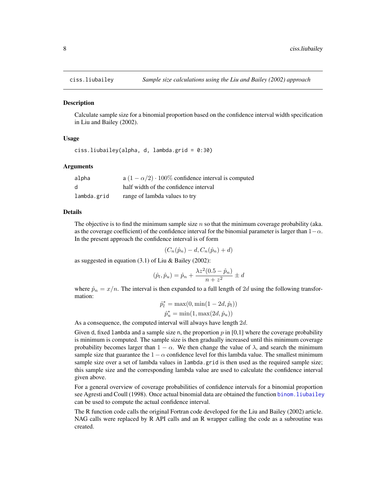<span id="page-7-1"></span><span id="page-7-0"></span>

## **Description**

Calculate sample size for a binomial proportion based on the confidence interval width specification in Liu and Bailey (2002).

## Usage

```
ciss.liubailey(alpha, d, lambda.grid = 0:30)
```
## Arguments

| alpha       | a $(1 - \alpha/2) \cdot 100\%$ confidence interval is computed |
|-------------|----------------------------------------------------------------|
| d           | half width of the confidence interval                          |
| lambda.grid | range of lambda values to try                                  |

## Details

The objective is to find the minimum sample size  $n$  so that the minimum coverage probability (aka. as the coverage coefficient) of the confidence interval for the binomial parameter is larger than  $1-\alpha$ . In the present approach the confidence interval is of form

 $(C_n(\hat{p}_n) - d, C_n(\hat{p}_n) + d)$ 

as suggested in equation  $(3.1)$  of Liu & Bailey  $(2002)$ :

$$
(\hat{p}_l, \hat{p}_u) = \hat{p}_n + \frac{\lambda z^2 (0.5 - \hat{p}_n)}{n + z^2} \pm d
$$

where  $\hat{p}_n = x/n$ . The interval is then expanded to a full length of 2d using the following transformation:

$$
\hat{p}_l^* = \max(0, \min(1 - 2d, \hat{p}_l)) \n\hat{p}_u^* = \min(1, \max(2d, \hat{p}_u))
$$

As a consequence, the computed interval will always have length  $2d$ .

Given d, fixed lambda and a sample size n, the proportion  $p$  in [0,1] where the coverage probability is minimum is computed. The sample size is then gradually increased until this minimum coverage probability becomes larger than  $1 - \alpha$ . We then change the value of  $\lambda$ , and search the minimum sample size that guarantee the  $1 - \alpha$  confidence level for this lambda value. The smallest minimum sample size over a set of lambda values in lambda.grid is then used as the required sample size; this sample size and the corresponding lambda value are used to calculate the confidence interval given above.

For a general overview of coverage probabilities of confidence intervals for a binomial proportion see Agresti and Coull (1998). Once actual binomial data are obtained the function binom. liubailey can be used to compute the actual confidence interval.

The R function code calls the original Fortran code developed for the Liu and Bailey (2002) article. NAG calls were replaced by R API calls and an R wrapper calling the code as a subroutine was created.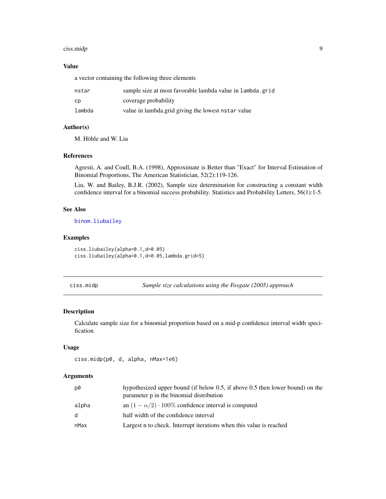#### <span id="page-8-0"></span>ciss.midp 9 and 9 and 9 and 9 and 9 and 9 and 9 and 9 and 9 and 9 and 9 and 9 and 9 and 9 and 9 and 9 and 9 and 9 and 9 and 9 and 9 and 9 and 9 and 9 and 9 and 9 and 9 and 9 and 9 and 9 and 9 and 9 and 9 and 9 and 9 and 9

## Value

a vector containing the following three elements

| nstar  | sample size at most favorable lambda value in lambda.grid |
|--------|-----------------------------------------------------------|
| cp     | coverage probability                                      |
| lambda | value in lambda.grid giving the lowest nstar value        |

## Author(s)

M. Höhle and W. Liu

## References

Agresti, A. and Coull, B.A. (1998), Approximate is Better than "Exact" for Interval Estimation of Binomial Proportions, The American Statistician, 52(2):119-126.

Liu, W. and Bailey, B.J.R. (2002), Sample size determination for constructing a constant width confidence interval for a binomial success probability. Statistics and Probability Letters, 56(1):1-5.

#### See Also

[binom.liubailey](#page-2-1)

## Examples

```
ciss.liubailey(alpha=0.1,d=0.05)
ciss.liubailey(alpha=0.1,d=0.05,lambda.grid=5)
```
<span id="page-8-1"></span>ciss.midp *Sample size calculations using the Fosgate (2005) approach*

## Description

Calculate sample size for a binomial proportion based on a mid-p confidence interval width specification.

#### Usage

```
ciss.midp(p0, d, alpha, nMax=1e6)
```
#### Arguments

| p0           | hypothesized upper bound (if below 0.5, if above 0.5 then lower bound) on the<br>parameter p in the binomial distribution |
|--------------|---------------------------------------------------------------------------------------------------------------------------|
| alpha        | an $(1 - \alpha/2) \cdot 100\%$ confidence interval is computed                                                           |
| <sub>d</sub> | half width of the confidence interval                                                                                     |
| nMax         | Largest n to check. Interrupt iterations when this value is reached                                                       |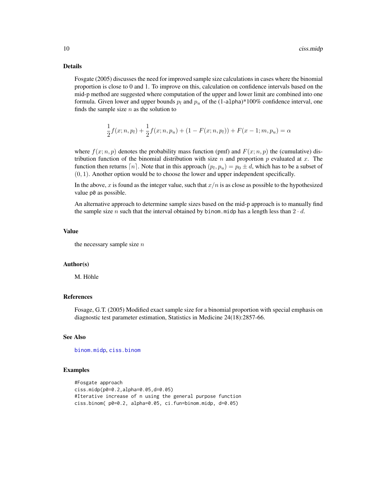## <span id="page-9-0"></span>Details

Fosgate (2005) discusses the need for improved sample size calculations in cases where the binomial proportion is close to 0 and 1. To improve on this, calculation on confidence intervals based on the mid-p method are suggested where computation of the upper and lower limit are combined into one formula. Given lower and upper bounds  $p_l$  and  $p_u$  of the (1-alpha)\*100% confidence interval, one finds the sample size  $n$  as the solution to

$$
\frac{1}{2}f(x; n, p_1) + \frac{1}{2}f(x; n, p_u) + (1 - F(x; n, p_1)) + F(x - 1; m, p_u) = \alpha
$$

where  $f(x; n, p)$  denotes the probability mass function (pmf) and  $F(x; n, p)$  the (cumulative) distribution function of the binomial distribution with size n and proportion p evaluated at x. The function then returns  $\lceil n \rceil$ . Note that in this approach  $(p_l, p_u) = p_0 \pm d$ , which has to be a subset of  $(0, 1)$ . Another option would be to choose the lower and upper independent specifically.

In the above, x is found as the integer value, such that  $x/n$  is as close as possible to the hypothesized value p0 as possible.

An alternative approach to determine sample sizes based on the mid-p approach is to manually find the sample size n such that the interval obtained by binom.midp has a length less than  $2 \cdot d$ .

#### Value

the necessary sample size  $n$ 

#### Author(s)

M. Höhle

## References

Fosage, G.T. (2005) Modified exact sample size for a binomial proportion with special emphasis on diagnostic test parameter estimation, Statistics in Medicine 24(18):2857-66.

## See Also

[binom.midp](#page-3-1), [ciss.binom](#page-5-1)

```
#Fosgate approach
ciss.midp(p0=0.2,alpha=0.05,d=0.05)
#Iterative increase of n using the general purpose function
ciss.binom( p0=0.2, alpha=0.05, ci.fun=binom.midp, d=0.05)
```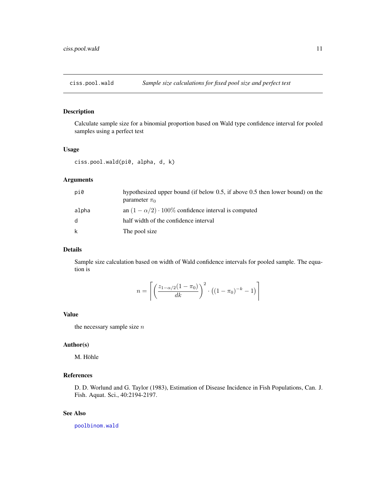<span id="page-10-0"></span>

## Description

Calculate sample size for a binomial proportion based on Wald type confidence interval for pooled samples using a perfect test

## Usage

ciss.pool.wald(pi0, alpha, d, k)

## Arguments

| pi0          | hypothesized upper bound (if below 0.5, if above 0.5 then lower bound) on the<br>parameter $\pi_0$ |
|--------------|----------------------------------------------------------------------------------------------------|
| alpha        | an $(1 - \alpha/2) \cdot 100\%$ confidence interval is computed                                    |
| <sub>d</sub> | half width of the confidence interval                                                              |
| k            | The pool size                                                                                      |

## Details

Sample size calculation based on width of Wald confidence intervals for pooled sample. The equation is

$$
n = \left[ \left( \frac{z_{1-\alpha/2}(1-\pi_0)}{dk} \right)^2 \cdot \left( (1-\pi_0)^{-k} - 1 \right) \right]
$$

#### Value

the necessary sample size  $\boldsymbol{n}$ 

## Author(s)

M. Höhle

## References

D. D. Worlund and G. Taylor (1983), Estimation of Disease Incidence in Fish Populations, Can. J. Fish. Aquat. Sci., 40:2194-2197.

## See Also

[poolbinom.wald](#page-14-1)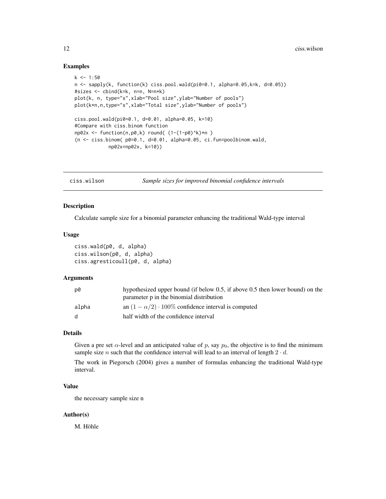## Examples

```
k < -1:50n <- sapply(k, function(k) ciss.pool.wald(pi0=0.1, alpha=0.05,k=k, d=0.05))
#sizes <- cbind(k=k, n=n, N=n*k)
plot(k, n, type="s",xlab="Pool size",ylab="Number of pools")
plot(k*n,n,type="s",xlab="Total size",ylab="Number of pools")
ciss.pool.wald(pi0=0.1, d=0.01, alpha=0.05, k=10)
#Compare with ciss.binom function
np02x \leq - function(n,p0,k) round( (1-(1-p0)^{k})\neq n )
(n \leq -ciss.binom(p0=0.1, d=0.01, alpha=0.05, ci.fun=poolbinom.walk,np02x=np02x, k=10))
```
ciss.wilson *Sample sizes for improved binomial confidence intervals*

## Description

Calculate sample size for a binomial parameter enhancing the traditional Wald-type interval

## Usage

```
ciss.wald(p0, d, alpha)
ciss.wilson(p0, d, alpha)
ciss.agresticoull(p0, d, alpha)
```
#### Arguments

| p0    | hypothesized upper bound (if below 0.5, if above 0.5 then lower bound) on the<br>parameter p in the binomial distribution |
|-------|---------------------------------------------------------------------------------------------------------------------------|
| alpha | an $(1 - \alpha/2) \cdot 100\%$ confidence interval is computed                                                           |
| d.    | half width of the confidence interval                                                                                     |

## Details

Given a pre set  $\alpha$ -level and an anticipated value of p, say  $p_0$ , the objective is to find the minimum sample size *n* such that the confidence interval will lead to an interval of length  $2 \cdot d$ .

The work in Piegorsch (2004) gives a number of formulas enhancing the traditional Wald-type interval.

## Value

the necessary sample size n

## Author(s)

M. Höhle

<span id="page-11-0"></span>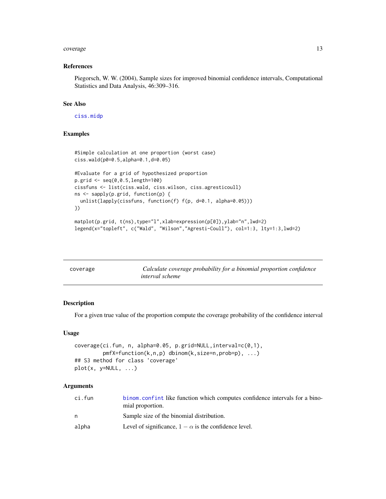#### <span id="page-12-0"></span>coverage the contract of the contract of the contract of the contract of the contract of the contract of the contract of the contract of the contract of the contract of the contract of the contract of the contract of the c

#### References

Piegorsch, W. W. (2004), Sample sizes for improved binomial confidence intervals, Computational Statistics and Data Analysis, 46:309–316.

## See Also

[ciss.midp](#page-8-1)

## Examples

```
#Simple calculation at one proportion (worst case)
ciss.wald(p0=0.5,alpha=0.1,d=0.05)
#Evaluate for a grid of hypothesized proportion
p.grid <- seq(0,0.5,length=100)
cissfuns <- list(ciss.wald, ciss.wilson, ciss.agresticoull)
ns <- sapply(p.grid, function(p) {
  unlist(lapply(cissfuns, function(f) f(p, d=0.1, alpha=0.05)))
})
matplot(p.grid, t(ns),type="l",xlab=expression(p[0]),ylab="n",lwd=2)
legend(x="topleft", c("Wald", "Wilson","Agresti-Coull"), col=1:3, lty=1:3,lwd=2)
```

| coverage | Calculate coverage probability for a binomial proportion confidence<br><i>interval</i> scheme |
|----------|-----------------------------------------------------------------------------------------------|
|          |                                                                                               |

## Description

For a given true value of the proportion compute the coverage probability of the confidence interval

## Usage

```
coverage(ci.fun, n, alpha=0.05, p.grid=NULL,interval=c(0,1),
         pmfX=function(k,n,p) dbinom(k,size=n,prob=p), ...)
## S3 method for class 'coverage'
plot(x, y=NULL, ...)
```
## Arguments

| binom confint like function which computes confidence intervals for a bino- |
|-----------------------------------------------------------------------------|
| Sample size of the binomial distribution.                                   |
| Level of significance, $1 - \alpha$ is the confidence level.                |
|                                                                             |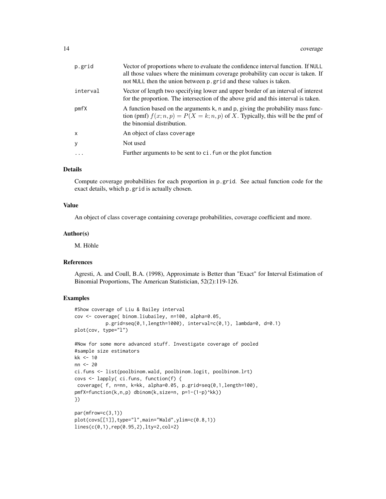| p.grid       | Vector of proportions where to evaluate the confidence interval function. If NULL<br>all those values where the minimum coverage probability can occur is taken. If<br>not NULL then the union between p.grid and these values is taken. |
|--------------|------------------------------------------------------------------------------------------------------------------------------------------------------------------------------------------------------------------------------------------|
| interval     | Vector of length two specifying lower and upper border of an interval of interest<br>for the proportion. The intersection of the above grid and this interval is taken.                                                                  |
| pmfX         | A function based on the arguments k, n and p, giving the probability mass func-<br>tion (pmf) $f(x; n, p) = P(X = k; n, p)$ of X. Typically, this will be the pmf of<br>the binomial distribution.                                       |
| $\mathsf{x}$ | An object of class coverage                                                                                                                                                                                                              |
| y            | Not used                                                                                                                                                                                                                                 |
| $\ddots$     | Further arguments to be sent to ci. fun or the plot function                                                                                                                                                                             |
|              |                                                                                                                                                                                                                                          |

## Details

Compute coverage probabilities for each proportion in p.grid. See actual function code for the exact details, which p.grid is actually chosen.

## Value

An object of class coverage containing coverage probabilities, coverage coefficient and more.

## Author(s)

M. Höhle

## References

Agresti, A. and Coull, B.A. (1998), Approximate is Better than "Exact" for Interval Estimation of Binomial Proportions, The American Statistician, 52(2):119-126.

```
#Show coverage of Liu & Bailey interval
cov <- coverage( binom.liubailey, n=100, alpha=0.05,
           p.grid=seq(0,1,length=1000), interval=c(0,1), lambda=0, d=0.1)
plot(cov, type="l")
#Now for some more advanced stuff. Investigate coverage of pooled
#sample size estimators
kk <- 10
nn <- 20
ci.funs <- list(poolbinom.wald, poolbinom.logit, poolbinom.lrt)
covs <- lapply( ci.funs, function(f) {
coverage( f, n=nn, k=kk, alpha=0.05, p.grid=seq(0,1,length=100),
pmfX=function(k,n,p) dbinom(k,size=n, p=1-(1-p)^kk))
})
par(mfrow=c(3,1))
plot(covs[[1]],type="l",main="Wald",ylim=c(0.8,1))
lines(c(0,1),rep(0.95,2),lty=2,col=2)
```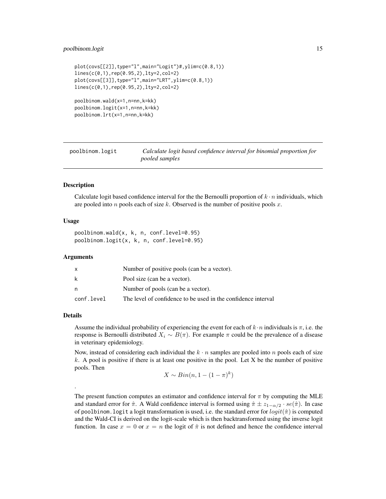## <span id="page-14-0"></span>poolbinom.logit 15

```
plot(covs[[2]],type="l",main="Logit")#,ylim=c(0.8,1))
lines(c(0,1),rep(0.95,2),lty=2,col=2)
plot(covs[[3]],type="l",main="LRT",ylim=c(0.8,1))
lines(c(0,1),rep(0.95,2),lty=2,col=2)
poolbinom.wald(x=1,n=nn,k=kk)
poolbinom.logit(x=1,n=nn,k=kk)
```

```
poolbinom.lrt(x=1,n=nn,k=kk)
```
<span id="page-14-2"></span>poolbinom.logit *Calculate logit based confidence interval for binomial proportion for pooled samples*

## <span id="page-14-1"></span>Description

Calculate logit based confidence interval for the the Bernoulli proportion of  $k \cdot n$  individuals, which are pooled into  $n$  pools each of size  $k$ . Observed is the number of positive pools  $x$ .

## Usage

poolbinom.wald(x, k, n, conf.level=0.95) poolbinom.logit(x, k, n, conf.level=0.95)

## Arguments

|            | Number of positive pools (can be a vector).                   |
|------------|---------------------------------------------------------------|
| k          | Pool size (can be a vector).                                  |
| n          | Number of pools (can be a vector).                            |
| conf.level | The level of confidence to be used in the confidence interval |

## Details

.

Assume the individual probability of experiencing the event for each of  $k \cdot n$  individuals is  $\pi$ , i.e. the response is Bernoulli distributed  $X_i \sim B(\pi)$ . For example  $\pi$  could be the prevalence of a disease in veterinary epidemiology.

Now, instead of considering each individual the  $k \cdot n$  samples are pooled into n pools each of size  $k$ . A pool is positive if there is at least one positive in the pool. Let X be the number of positive pools. Then

$$
X \sim Bin(n, 1 - (1 - \pi)^k)
$$

The present function computes an estimator and confidence interval for  $\pi$  by computing the MLE and standard error for  $\hat{\pi}$ . A Wald confidence interval is formed using  $\hat{\pi} \pm z_{1-\alpha/2} \cdot se(\hat{\pi})$ . In case of poolbinom. logit a logit transformation is used, i.e. the standard error for  $logit(\hat{\pi})$  is computed and the Wald-CI is derived on the logit-scale which is then backtransformed using the inverse logit function. In case  $x = 0$  or  $x = n$  the logit of  $\hat{\pi}$  is not defined and hence the confidence interval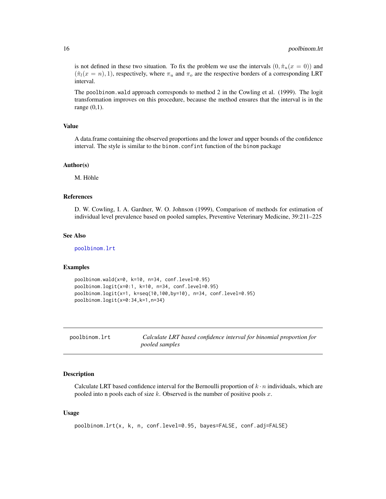is not defined in these two situation. To fix the problem we use the intervals  $(0, \hat{\pi}_u(x = 0))$  and  $(\hat{\pi}_l(x = n), 1)$ , respectively, where  $\pi_u$  and  $\pi_o$  are the respective borders of a corresponding LRT interval.

The poolbinom.wald approach corresponds to method 2 in the Cowling et al. (1999). The logit transformation improves on this procedure, because the method ensures that the interval is in the range (0,1).

## Value

A data.frame containing the observed proportions and the lower and upper bounds of the confidence interval. The style is similar to the binom.confint function of the binom package

## Author(s)

M. Höhle

## References

D. W. Cowling, I. A. Gardner, W. O. Johnson (1999), Comparison of methods for estimation of individual level prevalence based on pooled samples, Preventive Veterinary Medicine, 39:211–225

#### See Also

[poolbinom.lrt](#page-15-1)

## Examples

```
poolbinom.wald(x=0, k=10, n=34, conf.level=0.95)
poolbinom.logit(x=0:1, k=10, n=34, conf.level=0.95)
poolbinom.logit(x=1, k=seq(10,100,by=10), n=34, conf.level=0.95)
poolbinom.logit(x=0:34,k=1,n=34)
```
<span id="page-15-1"></span>

poolbinom.lrt *Calculate LRT based confidence interval for binomial proportion for pooled samples*

## Description

Calculate LRT based confidence interval for the Bernoulli proportion of  $k \cdot n$  individuals, which are pooled into n pools each of size  $k$ . Observed is the number of positive pools  $x$ .

## Usage

```
poolbinom.lrt(x, k, n, conf.level=0.95, bayes=FALSE, conf.adj=FALSE)
```
<span id="page-15-0"></span>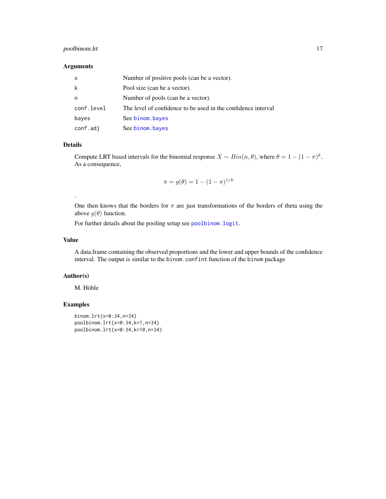## <span id="page-16-0"></span>poolbinom.lrt 17

## Arguments

| X          | Number of positive pools (can be a vector).                   |
|------------|---------------------------------------------------------------|
| k          | Pool size (can be a vector).                                  |
| n          | Number of pools (can be a vector).                            |
| conf.level | The level of confidence to be used in the confidence interval |
| bayes      | See binom.bayes                                               |
| conf.adj   | See binom.bayes                                               |

## Details

.

Compute LRT based intervals for the binomial response  $X \sim Bin(n, \theta)$ , where  $\theta = 1 - (1 - \pi)^k$ . As a consequence,

$$
\pi = g(\theta) = 1 - (1 - \pi)^{1/k}
$$

One then knows that the borders for  $\pi$  are just transformations of the borders of theta using the above  $g(\theta)$  function.

For further details about the pooling setup see [poolbinom.logit](#page-14-2).

## Value

A data.frame containing the observed proportions and the lower and upper bounds of the confidence interval. The output is similar to the binom.confint function of the binom package

## Author(s)

M. Höhle

```
binom.lrt(x=0:34,n=34)
poolbinom.lrt(x=0:34,k=1,n=34)
poolbinom.lrt(x=0:34,k=10,n=34)
```